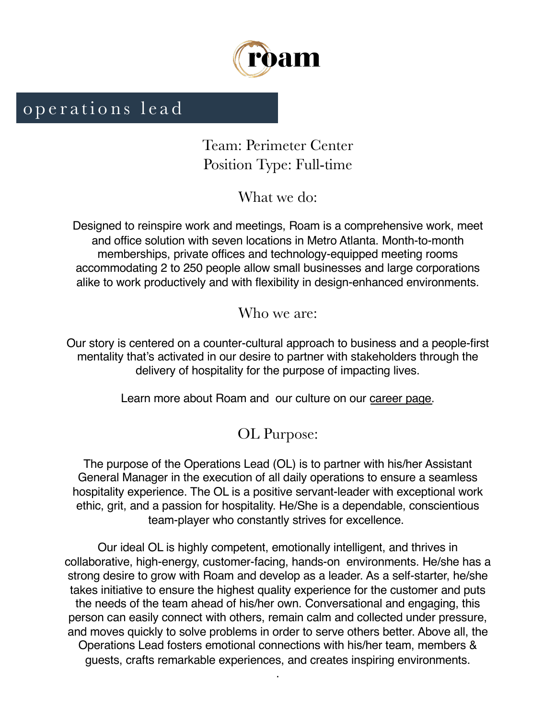

# operations lead

Team: Perimeter Center Position Type: Full-time

What we do:

Designed to reinspire work and meetings, Roam is a comprehensive work, meet and office solution with seven locations in Metro Atlanta. Month-to-month memberships, private offices and technology-equipped meeting rooms accommodating 2 to 250 people allow small businesses and large corporations alike to work productively and with flexibility in design-enhanced environments.

Who we are:

Our story is centered on a counter-cultural approach to business and a people-first mentality that's activated in our desire to partner with stakeholders through the delivery of hospitality for the purpose of impacting lives.

Learn more about Roam and our culture on [our career pa](https://meetatroam.com/careers/)ge.

## OL Purpose:

The purpose of the Operations Lead (OL) is to partner with his/her Assistant General Manager in the execution of all daily operations to ensure a seamless hospitality experience. The OL is a positive servant-leader with exceptional work ethic, grit, and a passion for hospitality. He/She is a dependable, conscientious team-player who constantly strives for excellence.

Our ideal OL is highly competent, emotionally intelligent, and thrives in collaborative, high-energy, customer-facing, hands-on environments. He/she has a strong desire to grow with Roam and develop as a leader. As a self-starter, he/she takes initiative to ensure the highest quality experience for the customer and puts the needs of the team ahead of his/her own. Conversational and engaging, this person can easily connect with others, remain calm and collected under pressure, and moves quickly to solve problems in order to serve others better. Above all, the Operations Lead fosters emotional connections with his/her team, members & guests, crafts remarkable experiences, and creates inspiring environments.

.